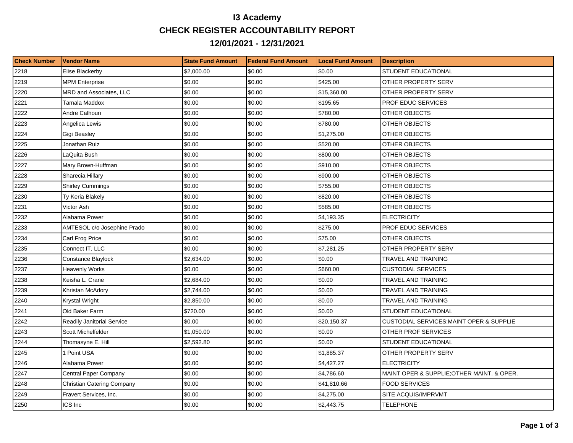## **I3 Academy CHECK REGISTER ACCOUNTABILITY REPORT 12/01/2021 - 12/31/2021**

| <b>Check Number</b> | Vendor Name                       | <b>State Fund Amount</b> | <b>Federal Fund Amount</b> | <b>Local Fund Amount</b> | <b>Description</b>                                  |
|---------------------|-----------------------------------|--------------------------|----------------------------|--------------------------|-----------------------------------------------------|
| 2218                | Elise Blackerby                   | \$2,000.00               | \$0.00                     | \$0.00                   | STUDENT EDUCATIONAL                                 |
| 2219                | <b>MPM Enterprise</b>             | \$0.00                   | \$0.00                     | \$425.00                 | OTHER PROPERTY SERV                                 |
| 2220                | MRD and Associates, LLC           | \$0.00                   | \$0.00                     | \$15,360.00              | OTHER PROPERTY SERV                                 |
| 2221                | Tamala Maddox                     | \$0.00                   | \$0.00                     | \$195.65                 | PROF EDUC SERVICES                                  |
| 2222                | Andre Calhoun                     | \$0.00                   | \$0.00                     | \$780.00                 | OTHER OBJECTS                                       |
| 2223                | Angelica Lewis                    | \$0.00                   | \$0.00                     | \$780.00                 | OTHER OBJECTS                                       |
| 2224                | Gigi Beasley                      | \$0.00                   | \$0.00                     | \$1,275.00               | OTHER OBJECTS                                       |
| 2225                | Jonathan Ruiz                     | \$0.00                   | \$0.00                     | \$520.00                 | OTHER OBJECTS                                       |
| 2226                | LaQuita Bush                      | \$0.00                   | \$0.00                     | \$800.00                 | OTHER OBJECTS                                       |
| 2227                | Mary Brown-Huffman                | \$0.00                   | \$0.00                     | \$910.00                 | OTHER OBJECTS                                       |
| 2228                | Sharecia Hillary                  | \$0.00                   | \$0.00                     | \$900.00                 | OTHER OBJECTS                                       |
| 2229                | <b>Shirley Cummings</b>           | \$0.00                   | \$0.00                     | \$755.00                 | OTHER OBJECTS                                       |
| 2230                | Ty Keria Blakely                  | \$0.00                   | \$0.00                     | \$820.00                 | OTHER OBJECTS                                       |
| 2231                | Victor Ash                        | \$0.00                   | \$0.00                     | \$585.00                 | OTHER OBJECTS                                       |
| 2232                | Alabama Power                     | \$0.00                   | \$0.00                     | \$4,193.35               | <b>ELECTRICITY</b>                                  |
| 2233                | AMTESOL c/o Josephine Prado       | \$0.00                   | \$0.00                     | \$275.00                 | <b>PROF EDUC SERVICES</b>                           |
| 2234                | Carl Frog Price                   | \$0.00                   | \$0.00                     | \$75.00                  | OTHER OBJECTS                                       |
| 2235                | Connect IT, LLC                   | \$0.00                   | \$0.00                     | \$7,281.25               | OTHER PROPERTY SERV                                 |
| 2236                | Constance Blaylock                | \$2,634.00               | \$0.00                     | \$0.00                   | TRAVEL AND TRAINING                                 |
| 2237                | <b>Heavenly Works</b>             | \$0.00                   | \$0.00                     | \$660.00                 | <b>CUSTODIAL SERVICES</b>                           |
| 2238                | Keisha L. Crane                   | \$2,684.00               | \$0.00                     | \$0.00                   | TRAVEL AND TRAINING                                 |
| 2239                | Khristan McAdory                  | \$2,744.00               | \$0.00                     | \$0.00                   | TRAVEL AND TRAINING                                 |
| 2240                | Krystal Wright                    | \$2,850.00               | \$0.00                     | \$0.00                   | TRAVEL AND TRAINING                                 |
| 2241                | Old Baker Farm                    | \$720.00                 | \$0.00                     | \$0.00                   | STUDENT EDUCATIONAL                                 |
| 2242                | <b>Readily Janitorial Service</b> | \$0.00                   | \$0.00                     | \$20,150.37              | <b>CUSTODIAL SERVICES; MAINT OPER &amp; SUPPLIE</b> |
| 2243                | Scott Michelfelder                | \$1,050.00               | \$0.00                     | \$0.00                   | OTHER PROF SERVICES                                 |
| 2244                | Thomasyne E. Hill                 | \$2,592.80               | \$0.00                     | \$0.00                   | STUDENT EDUCATIONAL                                 |
| 2245                | 1 Point USA                       | \$0.00                   | \$0.00                     | \$1,885.37               | OTHER PROPERTY SERV                                 |
| 2246                | Alabama Power                     | \$0.00                   | \$0.00                     | \$4,427.27               | <b>ELECTRICITY</b>                                  |
| 2247                | Central Paper Company             | \$0.00                   | \$0.00                     | \$4,786.60               | MAINT OPER & SUPPLIE; OTHER MAINT. & OPER.          |
| 2248                | <b>Christian Catering Company</b> | \$0.00                   | \$0.00                     | \$41,810.66              | <b>FOOD SERVICES</b>                                |
| 2249                | Fravert Services, Inc.            | \$0.00                   | \$0.00                     | \$4,275.00               | SITE ACQUIS/IMPRVMT                                 |
| 2250                | ICS Inc                           | \$0.00                   | \$0.00                     | \$2,443.75               | <b>TELEPHONE</b>                                    |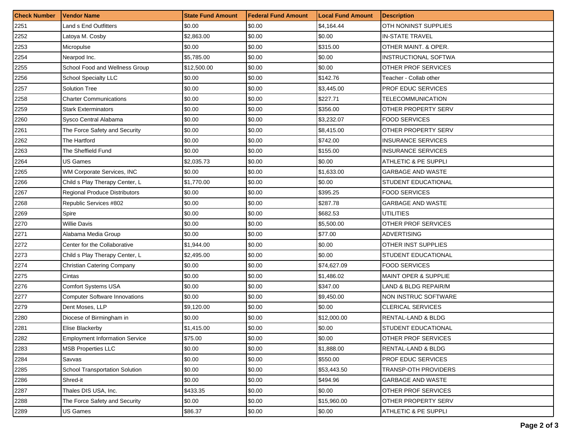| <b>Check Number</b> | <b>Vendor Name</b>                    | <b>State Fund Amount</b> | <b>Federal Fund Amount</b> | <b>Local Fund Amount</b> | <b>Description</b>              |
|---------------------|---------------------------------------|--------------------------|----------------------------|--------------------------|---------------------------------|
| 2251                | Land s End Outfitters                 | \$0.00                   | \$0.00                     | \$4,164.44               | <b>OTH NONINST SUPPLIES</b>     |
| 2252                | Latoya M. Cosby                       | \$2,863.00               | \$0.00                     | \$0.00                   | <b>IN-STATE TRAVEL</b>          |
| 2253                | Micropulse                            | \$0.00                   | \$0.00                     | \$315.00                 | OTHER MAINT. & OPER.            |
| 2254                | Nearpod Inc.                          | \$5,785.00               | \$0.00                     | \$0.00                   | INSTRUCTIONAL SOFTWA            |
| 2255                | School Food and Wellness Group        | \$12,500.00              | \$0.00                     | \$0.00                   | OTHER PROF SERVICES             |
| 2256                | <b>School Specialty LLC</b>           | \$0.00                   | \$0.00                     | \$142.76                 | Teacher - Collab other          |
| 2257                | Solution Tree                         | \$0.00                   | \$0.00                     | \$3,445.00               | PROF EDUC SERVICES              |
| 2258                | <b>Charter Communications</b>         | \$0.00                   | \$0.00                     | \$227.71                 | <b>TELECOMMUNICATION</b>        |
| 2259                | <b>Stark Exterminators</b>            | \$0.00                   | \$0.00                     | \$356.00                 | OTHER PROPERTY SERV             |
| 2260                | Sysco Central Alabama                 | \$0.00                   | \$0.00                     | \$3,232.07               | <b>FOOD SERVICES</b>            |
| 2261                | The Force Safety and Security         | \$0.00                   | \$0.00                     | \$8,415.00               | <b>OTHER PROPERTY SERV</b>      |
| 2262                | The Hartford                          | \$0.00                   | \$0.00                     | \$742.00                 | <b>INSURANCE SERVICES</b>       |
| 2263                | The Sheffield Fund                    | \$0.00                   | \$0.00                     | \$155.00                 | <b>INSURANCE SERVICES</b>       |
| 2264                | <b>US Games</b>                       | \$2,035.73               | \$0.00                     | \$0.00                   | <b>ATHLETIC &amp; PE SUPPLI</b> |
| 2265                | WM Corporate Services, INC            | \$0.00                   | \$0.00                     | \$1,633.00               | <b>GARBAGE AND WASTE</b>        |
| 2266                | Child s Play Therapy Center, L        | \$1,770.00               | \$0.00                     | \$0.00                   | STUDENT EDUCATIONAL             |
| 2267                | Regional Produce Distributors         | \$0.00                   | \$0.00                     | \$395.25                 | <b>FOOD SERVICES</b>            |
| 2268                | Republic Services #802                | \$0.00                   | \$0.00                     | \$287.78                 | <b>GARBAGE AND WASTE</b>        |
| 2269                | Spire                                 | \$0.00                   | \$0.00                     | \$682.53                 | <b>UTILITIES</b>                |
| 2270                | Willie Davis                          | \$0.00                   | \$0.00                     | \$5,500.00               | OTHER PROF SERVICES             |
| 2271                | Alabama Media Group                   | \$0.00                   | \$0.00                     | \$77.00                  | <b>ADVERTISING</b>              |
| 2272                | Center for the Collaborative          | \$1,944.00               | \$0.00                     | \$0.00                   | OTHER INST SUPPLIES             |
| 2273                | Child s Play Therapy Center, L        | \$2,495.00               | \$0.00                     | \$0.00                   | STUDENT EDUCATIONAL             |
| 2274                | Christian Catering Company            | \$0.00                   | \$0.00                     | \$74,627.09              | <b>FOOD SERVICES</b>            |
| 2275                | Cintas                                | \$0.00                   | \$0.00                     | \$1,486.02               | <b>MAINT OPER &amp; SUPPLIE</b> |
| 2276                | <b>Comfort Systems USA</b>            | \$0.00                   | \$0.00                     | \$347.00                 | LAND & BLDG REPAIR/M            |
| 2277                | <b>Computer Software Innovations</b>  | \$0.00                   | \$0.00                     | \$9,450.00               | NON INSTRUC SOFTWARE            |
| 2279                | Dent Moses, LLP                       | \$9,120.00               | \$0.00                     | \$0.00                   | <b>CLERICAL SERVICES</b>        |
| 2280                | Diocese of Birmingham in              | \$0.00                   | \$0.00                     | \$12,000.00              | RENTAL-LAND & BLDG              |
| 2281                | Elise Blackerby                       | \$1,415.00               | \$0.00                     | \$0.00                   | STUDENT EDUCATIONAL             |
| 2282                | <b>Employment Information Service</b> | \$75.00                  | \$0.00                     | \$0.00                   | <b>OTHER PROF SERVICES</b>      |
| 2283                | <b>MSB Properties LLC</b>             | \$0.00                   | \$0.00                     | \$1,888.00               | RENTAL-LAND & BLDG              |
| 2284                | Savvas                                | \$0.00                   | \$0.00                     | \$550.00                 | PROF EDUC SERVICES              |
| 2285                | School Transportation Solution        | \$0.00                   | \$0.00                     | \$53,443.50              | <b>TRANSP-OTH PROVIDERS</b>     |
| 2286                | Shred-it                              | \$0.00                   | \$0.00                     | \$494.96                 | GARBAGE AND WASTE               |
| 2287                | Thales DIS USA, Inc.                  | \$433.35                 | \$0.00                     | \$0.00                   | <b>OTHER PROF SERVICES</b>      |
| 2288                | The Force Safety and Security         | \$0.00                   | \$0.00                     | \$15,960.00              | <b>OTHER PROPERTY SERV</b>      |
| 2289                | US Games                              | \$86.37                  | \$0.00                     | \$0.00                   | <b>ATHLETIC &amp; PE SUPPLI</b> |